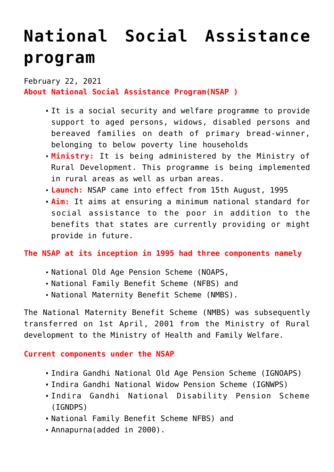# **[National Social Assistance](https://journalsofindia.com/national-social-assistance-program/) [program](https://journalsofindia.com/national-social-assistance-program/)**

February 22, 2021 **About National Social Assistance Program(NSAP )**

- It is a social security and welfare programme to provide support to aged persons, widows, disabled persons and bereaved families on death of primary bread-winner, belonging to below poverty line households
- **Ministry:** It is being administered by the Ministry of Rural Development. This programme is being implemented in rural areas as well as urban areas.
- **Launch:** NSAP came into effect from 15th August, 1995
- **Aim:** It aims at ensuring a minimum national standard for social assistance to the poor in addition to the benefits that states are currently providing or might provide in future.

**The NSAP at its inception in 1995 had three components namely**

- National Old Age Pension Scheme (NOAPS,
- National Family Benefit Scheme (NFBS) and
- National Maternity Benefit Scheme (NMBS).

The National Maternity Benefit Scheme (NMBS) was subsequently transferred on 1st April, 2001 from the Ministry of Rural development to the Ministry of Health and Family Welfare.

**Current components under the NSAP**

- Indira Gandhi National Old Age Pension Scheme (IGNOAPS)
- Indira Gandhi National Widow Pension Scheme (IGNWPS)
- Indira Gandhi National Disability Pension Scheme (IGNDPS)
- National Family Benefit Scheme NFBS) and
- Annapurna(added in 2000).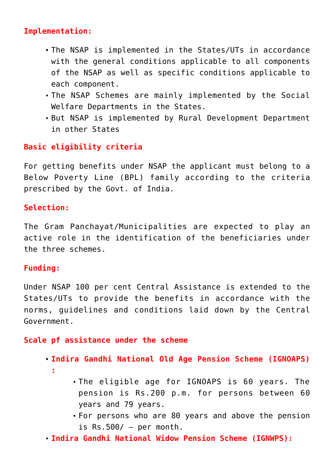### **Implementation:**

- The NSAP is implemented in the States/UTs in accordance with the general conditions applicable to all components of the NSAP as well as specific conditions applicable to each component.
- The NSAP Schemes are mainly implemented by the Social Welfare Departments in the States.
- But NSAP is implemented by Rural Development Department in other States

## **Basic eligibility criteria**

For getting benefits under NSAP the applicant must belong to a Below Poverty Line (BPL) family according to the criteria prescribed by the Govt. of India.

### **Selection:**

The Gram Panchayat/Municipalities are expected to play an active role in the identification of the beneficiaries under the three schemes.

#### **Funding:**

Under NSAP 100 per cent Central Assistance is extended to the States/UTs to provide the benefits in accordance with the norms, guidelines and conditions laid down by the Central Government.

#### **Scale pf assistance under the scheme**

- **Indira Gandhi National Old Age Pension Scheme (IGNOAPS)**
	- **:**
- The eligible age for IGNOAPS is 60 years. The pension is Rs.200 p.m. for persons between 60 years and 79 years.
- For persons who are 80 years and above the pension is  $Rs.500/ - per month.$
- **Indira Gandhi National Widow Pension Scheme (IGNWPS):**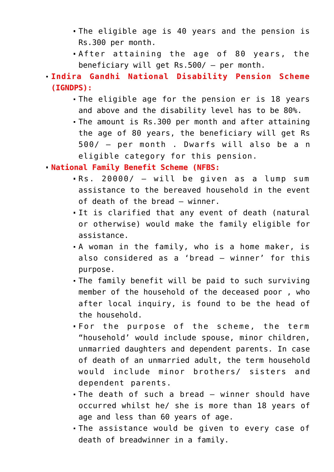- The eligible age is 40 years and the pension is Rs.300 per month.
- After attaining the age of 80 years, the beneficiary will get Rs.500/ – per month.
- **Indira Gandhi National Disability Pension Scheme (IGNDPS):**
	- The eligible age for the pension er is 18 years and above and the disability level has to be 80%.
	- The amount is Rs.300 per month and after attaining the age of 80 years, the beneficiary will get Rs 500/ – per month . Dwarfs will also be a n eligible category for this pension.

**National Family Benefit Scheme (NFBS:** 

- Rs. 20000/ will be given as a lump sum assistance to the bereaved household in the event of death of the bread – winner.
- It is clarified that any event of death (natural or otherwise) would make the family eligible for assistance.
- A woman in the family, who is a home maker, is also considered as a 'bread – winner' for this purpose.
- The family benefit will be paid to such surviving member of the household of the deceased poor , who after local inquiry, is found to be the head of the household.
- For the purpose of the scheme, the term "household' would include spouse, minor children, unmarried daughters and dependent parents. In case of death of an unmarried adult, the term household would include minor brothers/ sisters and dependent parents.
- The death of such a bread winner should have occurred whilst he/ she is more than 18 years of age and less than 60 years of age.
- The assistance would be given to every case of death of breadwinner in a family.